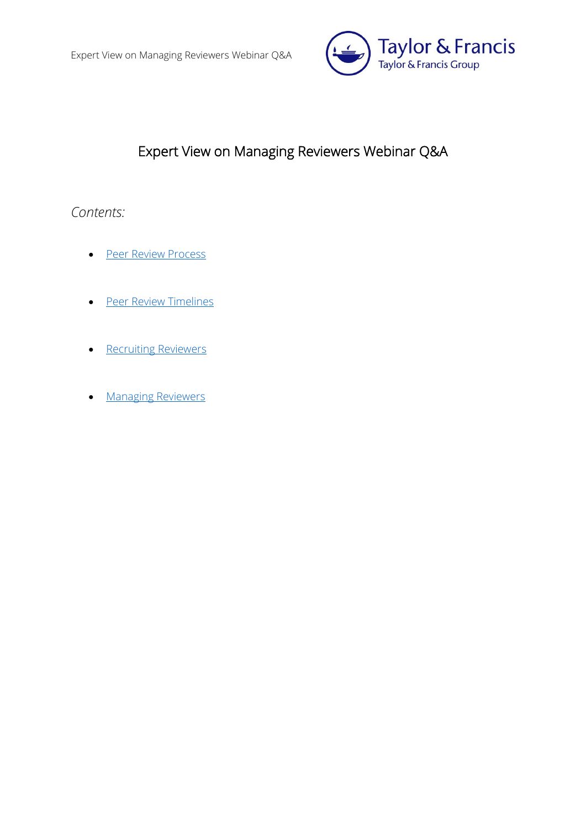

# Expert View on Managing Reviewers Webinar Q&A

# *Contents:*

- [Peer Review Process](#page-1-0)
- **•** [Peer Review Timelines](#page-6-0)
- [Recruiting Reviewers](#page-8-0)
- **[Managing Reviewers](#page-10-0)**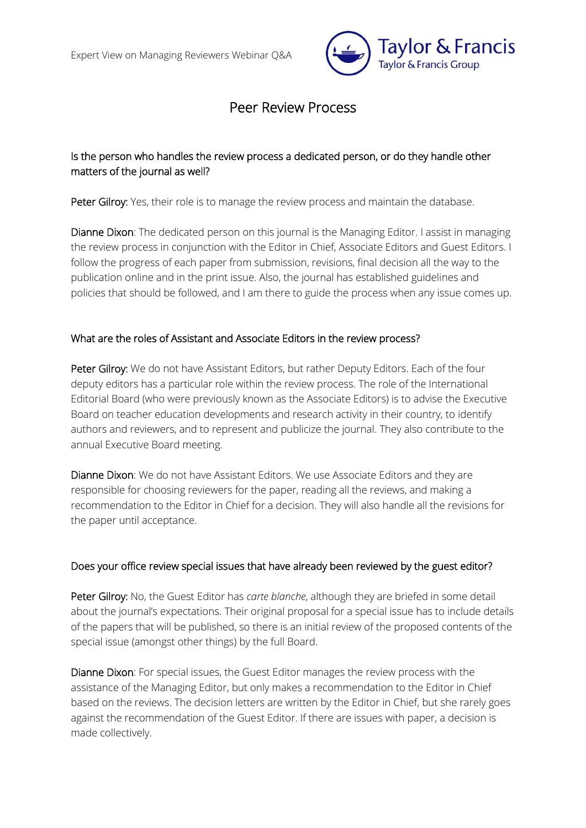

# Peer Review Process

## <span id="page-1-0"></span>Is the person who handles the review process a dedicated person, or do they handle other matters of the journal as well?

Peter Gilroy: Yes, their role is to manage the review process and maintain the database.

Dianne Dixon: The dedicated person on this journal is the Managing Editor. I assist in managing the review process in conjunction with the Editor in Chief, Associate Editors and Guest Editors. I follow the progress of each paper from submission, revisions, final decision all the way to the publication online and in the print issue. Also, the journal has established guidelines and policies that should be followed, and I am there to guide the process when any issue comes up.

#### What are the roles of Assistant and Associate Editors in the review process?

Peter Gilroy: We do not have Assistant Editors, but rather Deputy Editors. Each of the four deputy editors has a particular role within the review process. The role of the International Editorial Board (who were previously known as the Associate Editors) is to advise the Executive Board on teacher education developments and research activity in their country, to identify authors and reviewers, and to represent and publicize the journal. They also contribute to the annual Executive Board meeting.

Dianne Dixon: We do not have Assistant Editors. We use Associate Editors and they are responsible for choosing reviewers for the paper, reading all the reviews, and making a recommendation to the Editor in Chief for a decision. They will also handle all the revisions for the paper until acceptance.

### Does your office review special issues that have already been reviewed by the guest editor?

Peter Gilroy: No, the Guest Editor has *carte blanche*, although they are briefed in some detail about the journal's expectations. Their original proposal for a special issue has to include details of the papers that will be published, so there is an initial review of the proposed contents of the special issue (amongst other things) by the full Board.

Dianne Dixon: For special issues, the Guest Editor manages the review process with the assistance of the Managing Editor, but only makes a recommendation to the Editor in Chief based on the reviews. The decision letters are written by the Editor in Chief, but she rarely goes against the recommendation of the Guest Editor. If there are issues with paper, a decision is made collectively.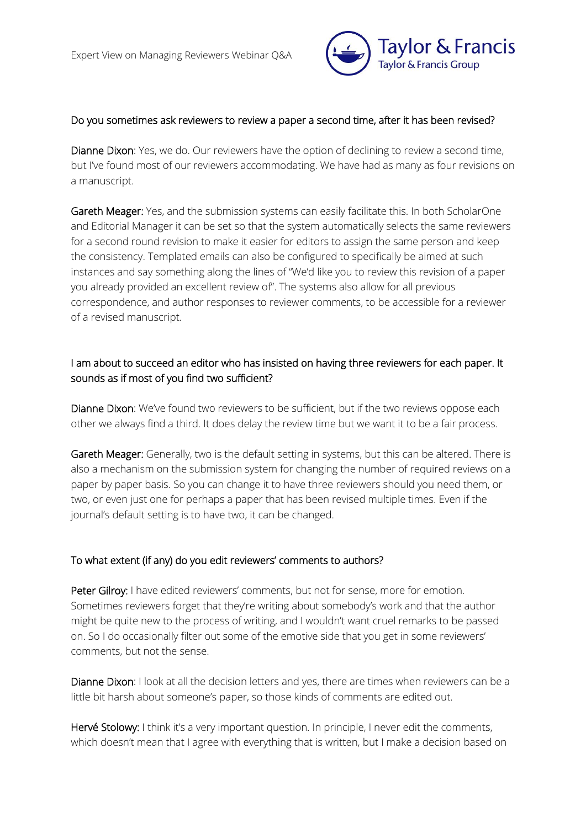

#### Do you sometimes ask reviewers to review a paper a second time, after it has been revised?

Dianne Dixon: Yes, we do. Our reviewers have the option of declining to review a second time, but I've found most of our reviewers accommodating. We have had as many as four revisions on a manuscript.

Gareth Meager: Yes, and the submission systems can easily facilitate this. In both ScholarOne and Editorial Manager it can be set so that the system automatically selects the same reviewers for a second round revision to make it easier for editors to assign the same person and keep the consistency. Templated emails can also be configured to specifically be aimed at such instances and say something along the lines of "We'd like you to review this revision of a paper you already provided an excellent review of". The systems also allow for all previous correspondence, and author responses to reviewer comments, to be accessible for a reviewer of a revised manuscript.

## I am about to succeed an editor who has insisted on having three reviewers for each paper. It sounds as if most of you find two sufficient?

Dianne Dixon: We've found two reviewers to be sufficient, but if the two reviews oppose each other we always find a third. It does delay the review time but we want it to be a fair process.

Gareth Meager: Generally, two is the default setting in systems, but this can be altered. There is also a mechanism on the submission system for changing the number of required reviews on a paper by paper basis. So you can change it to have three reviewers should you need them, or two, or even just one for perhaps a paper that has been revised multiple times. Even if the journal's default setting is to have two, it can be changed.

#### To what extent (if any) do you edit reviewers' comments to authors?

Peter Gilroy: I have edited reviewers' comments, but not for sense, more for emotion. Sometimes reviewers forget that they're writing about somebody's work and that the author might be quite new to the process of writing, and I wouldn't want cruel remarks to be passed on. So I do occasionally filter out some of the emotive side that you get in some reviewers' comments, but not the sense.

Dianne Dixon: I look at all the decision letters and yes, there are times when reviewers can be a little bit harsh about someone's paper, so those kinds of comments are edited out.

Hervé Stolowy: I think it's a very important question. In principle, I never edit the comments, which doesn't mean that I agree with everything that is written, but I make a decision based on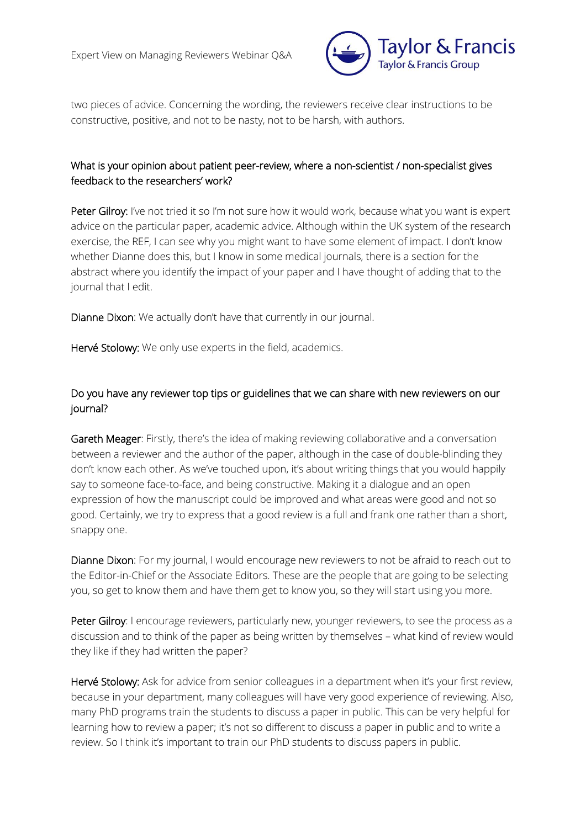

two pieces of advice. Concerning the wording, the reviewers receive clear instructions to be constructive, positive, and not to be nasty, not to be harsh, with authors.

## What is your opinion about patient peer-review, where a non-scientist / non-specialist gives feedback to the researchers' work?

Peter Gilroy: I've not tried it so I'm not sure how it would work, because what you want is expert advice on the particular paper, academic advice. Although within the UK system of the research exercise, the REF, I can see why you might want to have some element of impact. I don't know whether Dianne does this, but I know in some medical journals, there is a section for the abstract where you identify the impact of your paper and I have thought of adding that to the journal that I edit.

Dianne Dixon: We actually don't have that currently in our journal.

Hervé Stolowy: We only use experts in the field, academics.

# Do you have any reviewer top tips or guidelines that we can share with new reviewers on our journal?

Gareth Meager: Firstly, there's the idea of making reviewing collaborative and a conversation between a reviewer and the author of the paper, although in the case of double-blinding they don't know each other. As we've touched upon, it's about writing things that you would happily say to someone face-to-face, and being constructive. Making it a dialogue and an open expression of how the manuscript could be improved and what areas were good and not so good. Certainly, we try to express that a good review is a full and frank one rather than a short, snappy one.

Dianne Dixon: For my journal, I would encourage new reviewers to not be afraid to reach out to the Editor-in-Chief or the Associate Editors. These are the people that are going to be selecting you, so get to know them and have them get to know you, so they will start using you more.

Peter Gilroy: I encourage reviewers, particularly new, younger reviewers, to see the process as a discussion and to think of the paper as being written by themselves – what kind of review would they like if they had written the paper?

Hervé Stolowy: Ask for advice from senior colleagues in a department when it's your first review, because in your department, many colleagues will have very good experience of reviewing. Also, many PhD programs train the students to discuss a paper in public. This can be very helpful for learning how to review a paper; it's not so different to discuss a paper in public and to write a review. So I think it's important to train our PhD students to discuss papers in public.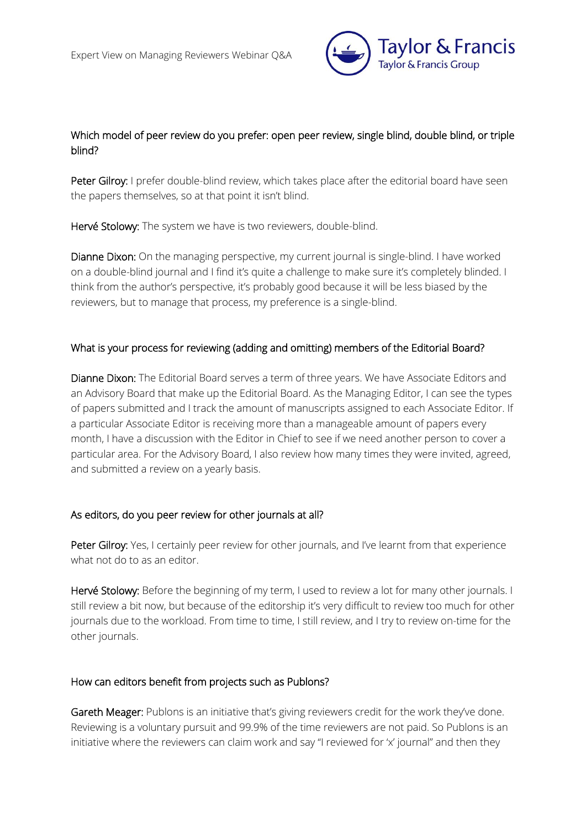

## Which model of peer review do you prefer: open peer review, single blind, double blind, or triple blind?

Peter Gilroy: I prefer double-blind review, which takes place after the editorial board have seen the papers themselves, so at that point it isn't blind.

Hervé Stolowy: The system we have is two reviewers, double-blind.

Dianne Dixon: On the managing perspective, my current journal is single-blind. I have worked on a double-blind journal and I find it's quite a challenge to make sure it's completely blinded. I think from the author's perspective, it's probably good because it will be less biased by the reviewers, but to manage that process, my preference is a single-blind.

#### What is your process for reviewing (adding and omitting) members of the Editorial Board?

Dianne Dixon: The Editorial Board serves a term of three years. We have Associate Editors and an Advisory Board that make up the Editorial Board. As the Managing Editor, I can see the types of papers submitted and I track the amount of manuscripts assigned to each Associate Editor. If a particular Associate Editor is receiving more than a manageable amount of papers every month, I have a discussion with the Editor in Chief to see if we need another person to cover a particular area. For the Advisory Board, I also review how many times they were invited, agreed, and submitted a review on a yearly basis.

### As editors, do you peer review for other journals at all?

Peter Gilroy: Yes, I certainly peer review for other journals, and I've learnt from that experience what not do to as an editor.

Hervé Stolowy: Before the beginning of my term, I used to review a lot for many other journals. I still review a bit now, but because of the editorship it's very difficult to review too much for other journals due to the workload. From time to time, I still review, and I try to review on-time for the other journals.

#### How can editors benefit from projects such as Publons?

Gareth Meager: Publons is an initiative that's giving reviewers credit for the work they've done. Reviewing is a voluntary pursuit and 99.9% of the time reviewers are not paid. So Publons is an initiative where the reviewers can claim work and say "I reviewed for 'x' journal" and then they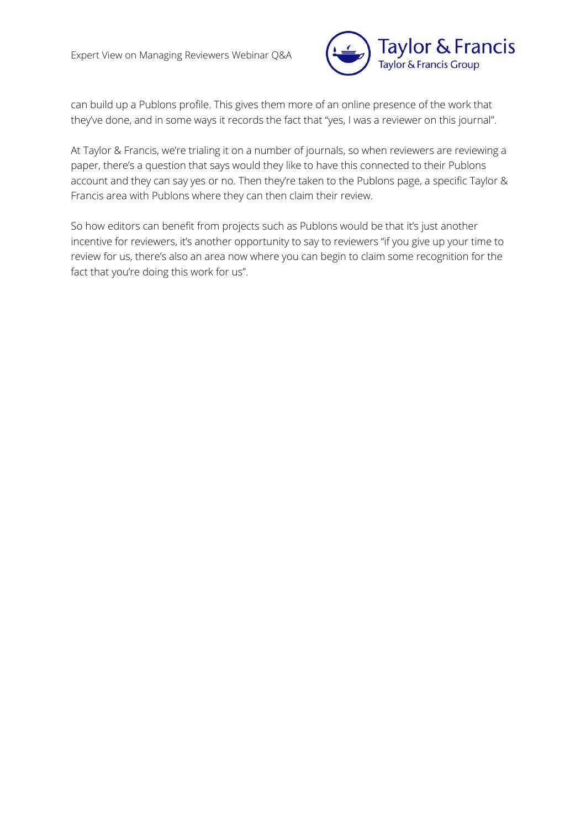

can build up a Publons profile. This gives them more of an online presence of the work that they've done, and in some ways it records the fact that "yes, I was a reviewer on this journal".

At Taylor & Francis, we're trialing it on a number of journals, so when reviewers are reviewing a paper, there's a question that says would they like to have this connected to their Publons account and they can say yes or no. Then they're taken to the Publons page, a specific Taylor & Francis area with Publons where they can then claim their review.

So how editors can benefit from projects such as Publons would be that it's just another incentive for reviewers, it's another opportunity to say to reviewers "if you give up your time to review for us, there's also an area now where you can begin to claim some recognition for the fact that you're doing this work for us".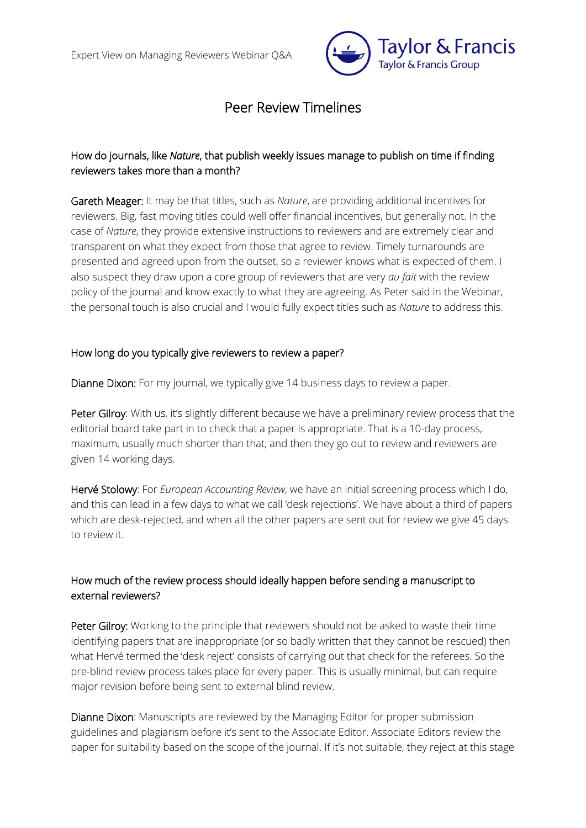

# Peer Review Timelines

# <span id="page-6-0"></span>How do journals, like *Nature*, that publish weekly issues manage to publish on time if finding reviewers takes more than a month?

Gareth Meager: It may be that titles, such as *Nature*, are providing additional incentives for reviewers. Big, fast moving titles could well offer financial incentives, but generally not. In the case of *Nature*, they provide extensive instructions to reviewers and are extremely clear and transparent on what they expect from those that agree to review. Timely turnarounds are presented and agreed upon from the outset, so a reviewer knows what is expected of them. I also suspect they draw upon a core group of reviewers that are very *au fait* with the review policy of the journal and know exactly to what they are agreeing. As Peter said in the Webinar, the personal touch is also crucial and I would fully expect titles such as *Nature* to address this.

### How long do you typically give reviewers to review a paper?

Dianne Dixon: For my journal, we typically give 14 business days to review a paper.

Peter Gilroy: With us, it's slightly different because we have a preliminary review process that the editorial board take part in to check that a paper is appropriate. That is a 10-day process, maximum, usually much shorter than that, and then they go out to review and reviewers are given 14 working days.

Hervé Stolowy: For *European Accounting Review*, we have an initial screening process which I do, and this can lead in a few days to what we call 'desk rejections'. We have about a third of papers which are desk-rejected, and when all the other papers are sent out for review we give 45 days to review it.

# How much of the review process should ideally happen before sending a manuscript to external reviewers?

Peter Gilroy: Working to the principle that reviewers should not be asked to waste their time identifying papers that are inappropriate (or so badly written that they cannot be rescued) then what Hervé termed the 'desk reject' consists of carrying out that check for the referees. So the pre-blind review process takes place for every paper. This is usually minimal, but can require major revision before being sent to external blind review.

Dianne Dixon: Manuscripts are reviewed by the Managing Editor for proper submission guidelines and plagiarism before it's sent to the Associate Editor. Associate Editors review the paper for suitability based on the scope of the journal. If it's not suitable, they reject at this stage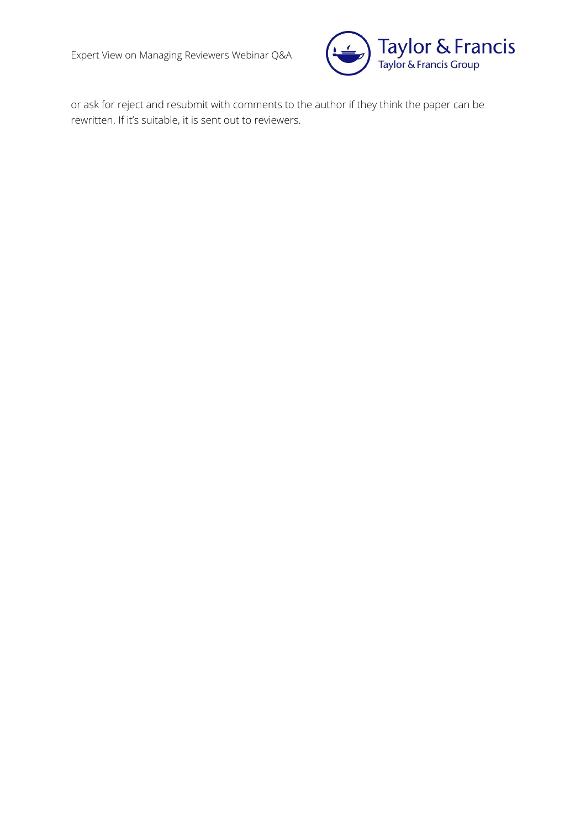Expert View on Managing Reviewers Webinar Q&A



or ask for reject and resubmit with comments to the author if they think the paper can be rewritten. If it's suitable, it is sent out to reviewers.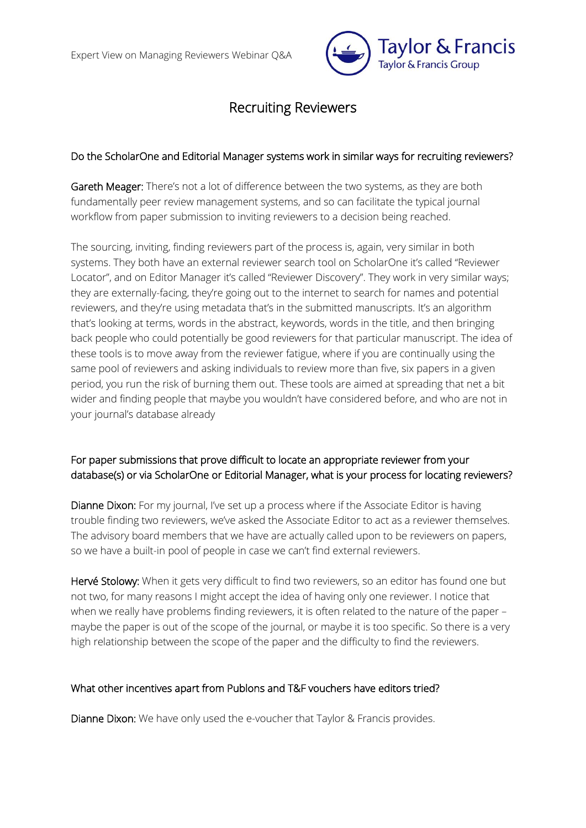

# Recruiting Reviewers

#### <span id="page-8-0"></span>Do the ScholarOne and Editorial Manager systems work in similar ways for recruiting reviewers?

Gareth Meager: There's not a lot of difference between the two systems, as they are both fundamentally peer review management systems, and so can facilitate the typical journal workflow from paper submission to inviting reviewers to a decision being reached.

The sourcing, inviting, finding reviewers part of the process is, again, very similar in both systems. They both have an external reviewer search tool on ScholarOne it's called "Reviewer Locator", and on Editor Manager it's called "Reviewer Discovery". They work in very similar ways; they are externally-facing, they're going out to the internet to search for names and potential reviewers, and they're using metadata that's in the submitted manuscripts. It's an algorithm that's looking at terms, words in the abstract, keywords, words in the title, and then bringing back people who could potentially be good reviewers for that particular manuscript. The idea of these tools is to move away from the reviewer fatigue, where if you are continually using the same pool of reviewers and asking individuals to review more than five, six papers in a given period, you run the risk of burning them out. These tools are aimed at spreading that net a bit wider and finding people that maybe you wouldn't have considered before, and who are not in your journal's database already

# For paper submissions that prove difficult to locate an appropriate reviewer from your database(s) or via ScholarOne or Editorial Manager, what is your process for locating reviewers?

Dianne Dixon: For my journal, I've set up a process where if the Associate Editor is having trouble finding two reviewers, we've asked the Associate Editor to act as a reviewer themselves. The advisory board members that we have are actually called upon to be reviewers on papers, so we have a built-in pool of people in case we can't find external reviewers.

Hervé Stolowy: When it gets very difficult to find two reviewers, so an editor has found one but not two, for many reasons I might accept the idea of having only one reviewer. I notice that when we really have problems finding reviewers, it is often related to the nature of the paper – maybe the paper is out of the scope of the journal, or maybe it is too specific. So there is a very high relationship between the scope of the paper and the difficulty to find the reviewers.

### What other incentives apart from Publons and T&F vouchers have editors tried?

Dianne Dixon: We have only used the e-voucher that Taylor & Francis provides.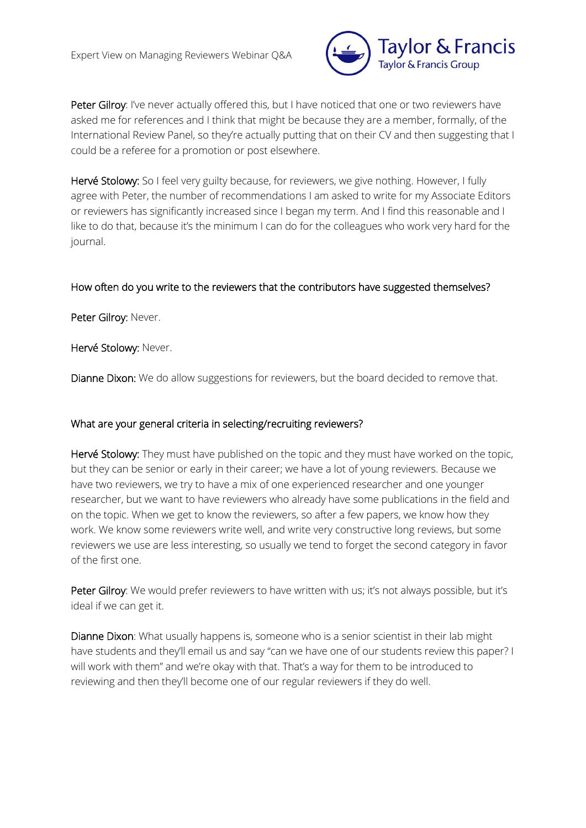

Peter Gilroy: I've never actually offered this, but I have noticed that one or two reviewers have asked me for references and I think that might be because they are a member, formally, of the International Review Panel, so they're actually putting that on their CV and then suggesting that I could be a referee for a promotion or post elsewhere.

Hervé Stolowy: So I feel very guilty because, for reviewers, we give nothing. However, I fully agree with Peter, the number of recommendations I am asked to write for my Associate Editors or reviewers has significantly increased since I began my term. And I find this reasonable and I like to do that, because it's the minimum I can do for the colleagues who work very hard for the journal.

#### How often do you write to the reviewers that the contributors have suggested themselves?

Peter Gilroy: Never.

Hervé Stolowy: Never.

Dianne Dixon: We do allow suggestions for reviewers, but the board decided to remove that.

### What are your general criteria in selecting/recruiting reviewers?

Hervé Stolowy: They must have published on the topic and they must have worked on the topic, but they can be senior or early in their career; we have a lot of young reviewers. Because we have two reviewers, we try to have a mix of one experienced researcher and one younger researcher, but we want to have reviewers who already have some publications in the field and on the topic. When we get to know the reviewers, so after a few papers, we know how they work. We know some reviewers write well, and write very constructive long reviews, but some reviewers we use are less interesting, so usually we tend to forget the second category in favor of the first one.

Peter Gilroy: We would prefer reviewers to have written with us; it's not always possible, but it's ideal if we can get it.

Dianne Dixon: What usually happens is, someone who is a senior scientist in their lab might have students and they'll email us and say "can we have one of our students review this paper? I will work with them" and we're okay with that. That's a way for them to be introduced to reviewing and then they'll become one of our regular reviewers if they do well.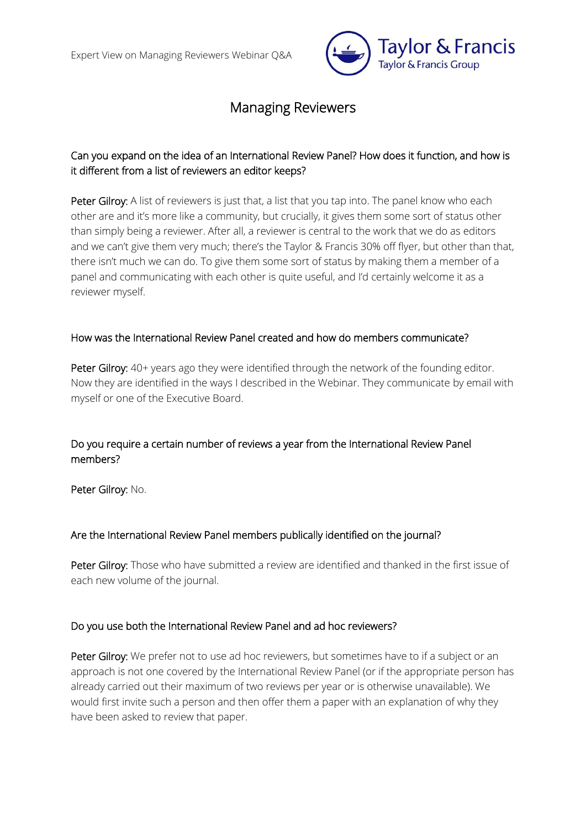

# Managing Reviewers

# <span id="page-10-0"></span>Can you expand on the idea of an International Review Panel? How does it function, and how is it different from a list of reviewers an editor keeps?

Peter Gilroy: A list of reviewers is just that, a list that you tap into. The panel know who each other are and it's more like a community, but crucially, it gives them some sort of status other than simply being a reviewer. After all, a reviewer is central to the work that we do as editors and we can't give them very much; there's the Taylor & Francis 30% off flyer, but other than that, there isn't much we can do. To give them some sort of status by making them a member of a panel and communicating with each other is quite useful, and I'd certainly welcome it as a reviewer myself.

### How was the International Review Panel created and how do members communicate?

Peter Gilroy: 40+ years ago they were identified through the network of the founding editor. Now they are identified in the ways I described in the Webinar. They communicate by email with myself or one of the Executive Board.

# Do you require a certain number of reviews a year from the International Review Panel members?

Peter Gilroy: No.

### Are the International Review Panel members publically identified on the journal?

Peter Gilroy: Those who have submitted a review are identified and thanked in the first issue of each new volume of the journal.

### Do you use both the International Review Panel and ad hoc reviewers?

Peter Gilroy: We prefer not to use ad hoc reviewers, but sometimes have to if a subject or an approach is not one covered by the International Review Panel (or if the appropriate person has already carried out their maximum of two reviews per year or is otherwise unavailable). We would first invite such a person and then offer them a paper with an explanation of why they have been asked to review that paper.